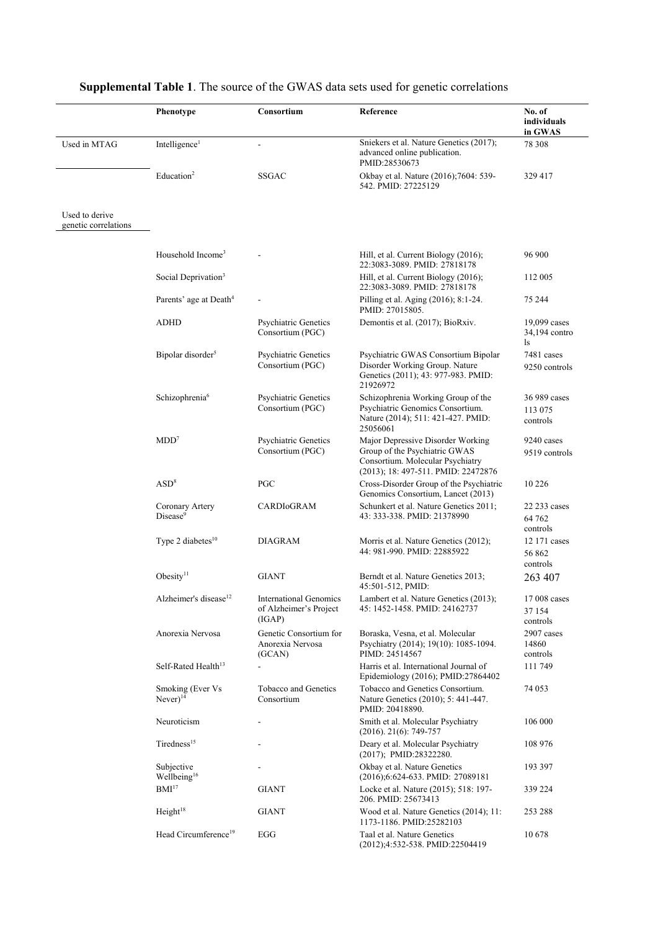|                                        | Phenotype                                  | Consortium                                                        | Reference                                                                                                                                     | No. of<br>individuals<br>in GWAS    |
|----------------------------------------|--------------------------------------------|-------------------------------------------------------------------|-----------------------------------------------------------------------------------------------------------------------------------------------|-------------------------------------|
| Used in MTAG                           | Intelligence <sup>1</sup>                  | $\overline{a}$                                                    | Sniekers et al. Nature Genetics (2017);<br>advanced online publication.<br>PMID:28530673                                                      | 78 308                              |
|                                        | Education <sup>2</sup>                     | <b>SSGAC</b>                                                      | Okbay et al. Nature (2016);7604: 539-<br>542. PMID: 27225129                                                                                  | 329 417                             |
| Used to derive<br>genetic correlations |                                            |                                                                   |                                                                                                                                               |                                     |
|                                        |                                            |                                                                   |                                                                                                                                               |                                     |
|                                        | Household Income <sup>3</sup>              |                                                                   | Hill, et al. Current Biology (2016);<br>22:3083-3089. PMID: 27818178                                                                          | 96 900                              |
|                                        | Social Deprivation <sup>3</sup>            |                                                                   | Hill, et al. Current Biology (2016);<br>22:3083-3089. PMID: 27818178                                                                          | 112 005                             |
|                                        | Parents' age at Death <sup>4</sup>         |                                                                   | Pilling et al. Aging (2016); 8:1-24.<br>PMID: 27015805.                                                                                       | 75 244                              |
|                                        | ADHD                                       | <b>Psychiatric Genetics</b><br>Consortium (PGC)                   | Demontis et al. (2017); BioRxiv.                                                                                                              | 19,099 cases<br>34,194 contro<br>ls |
|                                        | Bipolar disorder <sup>5</sup>              | <b>Psychiatric Genetics</b><br>Consortium (PGC)                   | Psychiatric GWAS Consortium Bipolar<br>Disorder Working Group. Nature<br>Genetics (2011); 43: 977-983. PMID:<br>21926972                      | 7481 cases<br>9250 controls         |
|                                        | Schizophrenia <sup>6</sup>                 | <b>Psychiatric Genetics</b><br>Consortium (PGC)                   | Schizophrenia Working Group of the<br>Psychiatric Genomics Consortium.<br>Nature (2014); 511: 421-427. PMID:<br>25056061                      | 36 989 cases<br>113 075<br>controls |
|                                        | MDD <sup>7</sup>                           | <b>Psychiatric Genetics</b><br>Consortium (PGC)                   | Major Depressive Disorder Working<br>Group of the Psychiatric GWAS<br>Consortium. Molecular Psychiatry<br>(2013); 18: 497-511. PMID: 22472876 | 9240 cases<br>9519 controls         |
|                                        | $\mathrm{ASD}^8$                           | PGC                                                               | Cross-Disorder Group of the Psychiatric<br>Genomics Consortium, Lancet (2013)                                                                 | 10 2 26                             |
|                                        | Coronary Artery<br>Disease <sup>9</sup>    | CARDIOGRAM                                                        | Schunkert et al. Nature Genetics 2011;<br>43: 333-338. PMID: 21378990                                                                         | 22 233 cases<br>64 762<br>controls  |
|                                        | Type 2 diabetes <sup>10</sup>              | <b>DIAGRAM</b>                                                    | Morris et al. Nature Genetics (2012);<br>44: 981-990. PMID: 22885922                                                                          | 12 171 cases<br>56862<br>controls   |
|                                        | Obesity $11$                               | <b>GIANT</b>                                                      | Berndt et al. Nature Genetics 2013;<br>45:501-512, PMID:                                                                                      | 263 407                             |
|                                        | Alzheimer's disease <sup>12</sup>          | <b>International Genomics</b><br>of Alzheimer's Project<br>(IGAP) | Lambert et al. Nature Genetics (2013);<br>45: 1452-1458. PMID: 24162737                                                                       | 17 008 cases<br>37 154              |
|                                        | Anorexia Nervosa                           | Genetic Consortium for<br>Anorexia Nervosa                        | Boraska, Vesna, et al. Molecular<br>Psychiatry (2014); 19(10): 1085-1094.                                                                     | controls<br>2907 cases<br>14860     |
|                                        | Self-Rated Health <sup>13</sup>            | (GCAN)                                                            | PIMD: 24514567<br>Harris et al. International Journal of<br>Epidemiology (2016); PMID:27864402                                                | controls<br>111 749                 |
|                                        | Smoking (Ever Vs<br>$Never)$ <sup>14</sup> | Tobacco and Genetics<br>Consortium                                | Tobacco and Genetics Consortium.<br>Nature Genetics (2010); 5: 441-447.<br>PMID: 20418890.                                                    | 74 053                              |
|                                        | Neuroticism                                |                                                                   | Smith et al. Molecular Psychiatry<br>$(2016)$ . 21(6): 749-757                                                                                | 106 000                             |
|                                        | Tiredness <sup>15</sup>                    |                                                                   | Deary et al. Molecular Psychiatry<br>$(2017)$ ; PMID:28322280.                                                                                | 108 976                             |
|                                        | Subjective<br>Wellbeing <sup>16</sup>      |                                                                   | Okbay et al. Nature Genetics<br>(2016);6:624-633. PMID: 27089181                                                                              | 193 397                             |
|                                        | BMI <sup>17</sup>                          | <b>GIANT</b>                                                      | Locke et al. Nature (2015); 518: 197-<br>206. PMID: 25673413                                                                                  | 339 224                             |
|                                        | Height <sup>18</sup>                       | <b>GIANT</b>                                                      | Wood et al. Nature Genetics (2014); 11:<br>1173-1186. PMID:25282103                                                                           | 253 288                             |
|                                        | Head Circumference <sup>19</sup>           | EGG                                                               | Taal et al. Nature Genetics<br>(2012);4:532-538. PMID:22504419                                                                                | 10678                               |

## **Supplemental Table 1**. The source of the GWAS data sets used for genetic correlations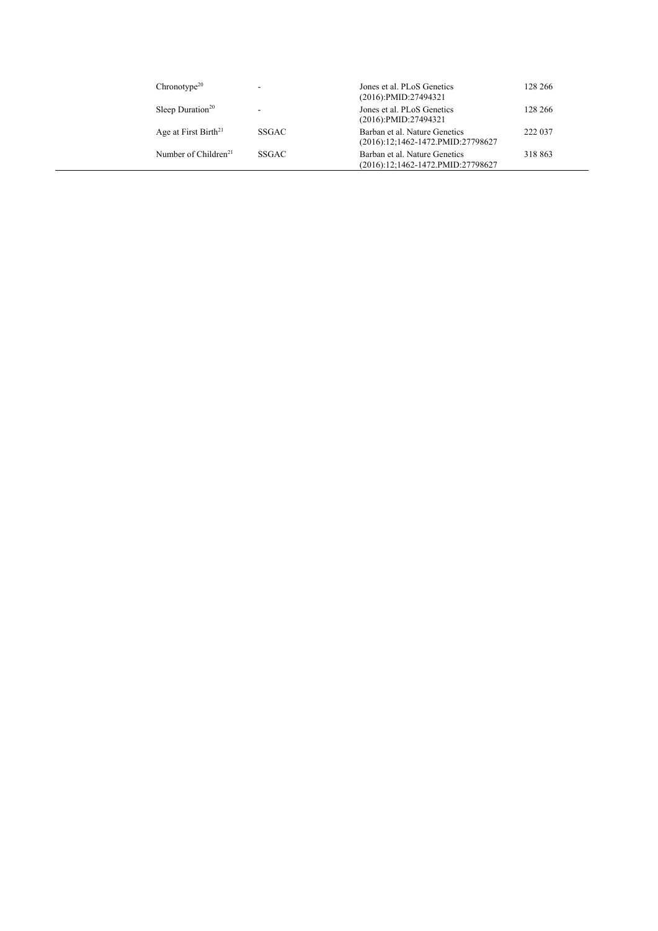| $Chronotype^{20}$                |              | Jones et al. PLoS Genetics<br>$(2016):$ PMID:27494321              | 128 266 |
|----------------------------------|--------------|--------------------------------------------------------------------|---------|
| Sleep Duration <sup>20</sup>     | -            | Jones et al. PLoS Genetics<br>$(2016)$ :PMID:27494321              | 128 266 |
| Age at First Birth <sup>21</sup> | <b>SSGAC</b> | Barban et al. Nature Genetics<br>(2016):12;1462-1472.PMID:27798627 | 222 037 |
| Number of Children <sup>21</sup> | <b>SSGAC</b> | Barban et al. Nature Genetics<br>(2016):12;1462-1472.PMID:27798627 | 318 863 |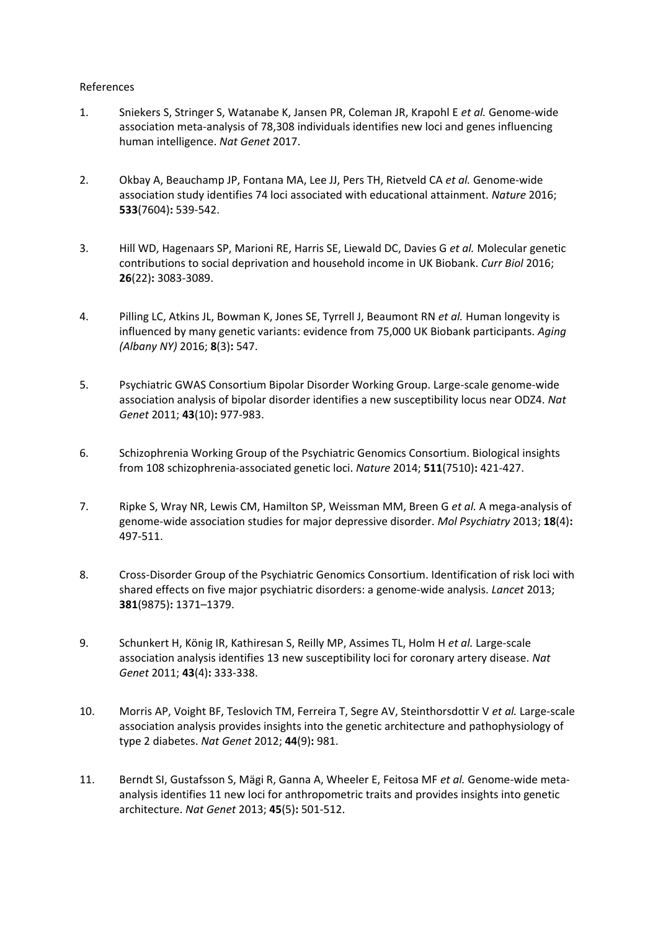## References

- 1. Sniekers S, Stringer S, Watanabe K, Jansen PR, Coleman JR, Krapohl E *et al.* Genome-wide association meta-analysis of 78,308 individuals identifies new loci and genes influencing human intelligence. *Nat Genet* 2017.
- 2. Okbay A, Beauchamp JP, Fontana MA, Lee JJ, Pers TH, Rietveld CA *et al.* Genome-wide association study identifies 74 loci associated with educational attainment. *Nature* 2016; **533**(7604)**:** 539-542.
- 3. Hill WD, Hagenaars SP, Marioni RE, Harris SE, Liewald DC, Davies G *et al.* Molecular genetic contributions to social deprivation and household income in UK Biobank. *Curr Biol* 2016; **26**(22)**:** 3083-3089.
- 4. Pilling LC, Atkins JL, Bowman K, Jones SE, Tyrrell J, Beaumont RN *et al.* Human longevity is influenced by many genetic variants: evidence from 75,000 UK Biobank participants. *Aging (Albany NY)* 2016; **8**(3)**:** 547.
- 5. Psychiatric GWAS Consortium Bipolar Disorder Working Group. Large-scale genome-wide association analysis of bipolar disorder identifies a new susceptibility locus near ODZ4. *Nat Genet* 2011; **43**(10)**:** 977-983.
- 6. Schizophrenia Working Group of the Psychiatric Genomics Consortium. Biological insights from 108 schizophrenia-associated genetic loci. *Nature* 2014; **511**(7510)**:** 421-427.
- 7. Ripke S, Wray NR, Lewis CM, Hamilton SP, Weissman MM, Breen G *et al.* A mega-analysis of genome-wide association studies for major depressive disorder. *Mol Psychiatry* 2013; **18**(4)**:**  497-511.
- 8. Cross-Disorder Group of the Psychiatric Genomics Consortium. Identification of risk loci with shared effects on five major psychiatric disorders: a genome-wide analysis. *Lancet* 2013; **381**(9875)**:** 1371–1379.
- 9. Schunkert H, König IR, Kathiresan S, Reilly MP, Assimes TL, Holm H *et al.* Large-scale association analysis identifies 13 new susceptibility loci for coronary artery disease. *Nat Genet* 2011; **43**(4)**:** 333-338.
- 10. Morris AP, Voight BF, Teslovich TM, Ferreira T, Segre AV, Steinthorsdottir V *et al.* Large-scale association analysis provides insights into the genetic architecture and pathophysiology of type 2 diabetes. *Nat Genet* 2012; **44**(9)**:** 981.
- 11. Berndt SI, Gustafsson S, Mägi R, Ganna A, Wheeler E, Feitosa MF *et al.* Genome-wide metaanalysis identifies 11 new loci for anthropometric traits and provides insights into genetic architecture. *Nat Genet* 2013; **45**(5)**:** 501-512.